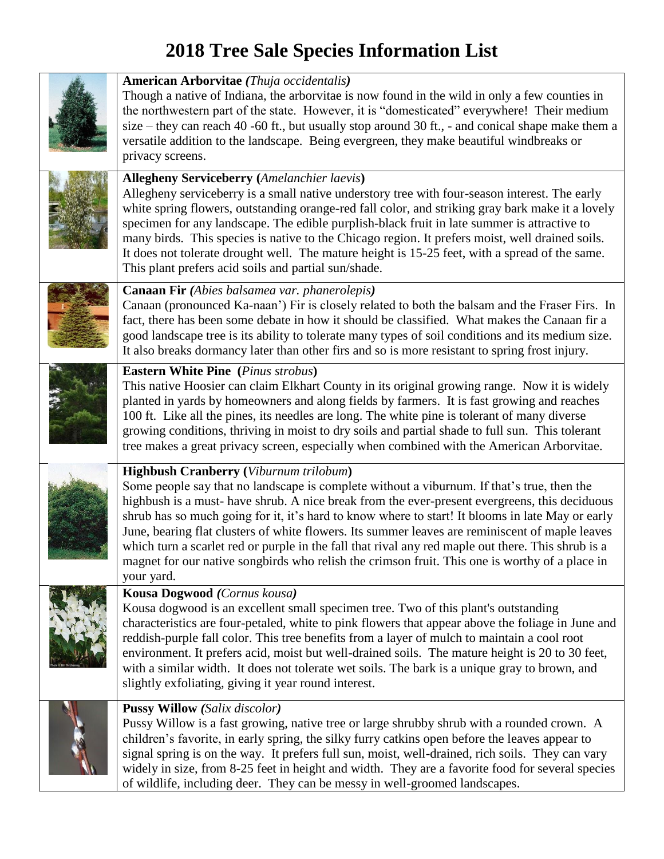## **2018 Tree Sale Species Information List**

| <b>American Arborvitae</b> (Thuja occidentalis)<br>Though a native of Indiana, the arborvitae is now found in the wild in only a few counties in<br>the northwestern part of the state. However, it is "domesticated" everywhere! Their medium<br>size – they can reach 40 -60 ft., but usually stop around 30 ft., - and conical shape make them a<br>versatile addition to the landscape. Being evergreen, they make beautiful windbreaks or<br>privacy screens.                                                                                                                                                                                                       |
|--------------------------------------------------------------------------------------------------------------------------------------------------------------------------------------------------------------------------------------------------------------------------------------------------------------------------------------------------------------------------------------------------------------------------------------------------------------------------------------------------------------------------------------------------------------------------------------------------------------------------------------------------------------------------|
| <b>Allegheny Serviceberry</b> (Amelanchier laevis)<br>Allegheny serviceberry is a small native understory tree with four-season interest. The early<br>white spring flowers, outstanding orange-red fall color, and striking gray bark make it a lovely<br>specimen for any landscape. The edible purplish-black fruit in late summer is attractive to<br>many birds. This species is native to the Chicago region. It prefers moist, well drained soils.<br>It does not tolerate drought well. The mature height is 15-25 feet, with a spread of the same.<br>This plant prefers acid soils and partial sun/shade.                                                      |
| <b>Canaan Fir</b> (Abies balsamea var. phanerolepis)<br>Canaan (pronounced Ka-naan') Fir is closely related to both the balsam and the Fraser Firs. In<br>fact, there has been some debate in how it should be classified. What makes the Canaan fir a<br>good landscape tree is its ability to tolerate many types of soil conditions and its medium size.<br>It also breaks dormancy later than other firs and so is more resistant to spring frost injury.                                                                                                                                                                                                            |
| <b>Eastern White Pine</b> (Pinus strobus)<br>This native Hoosier can claim Elkhart County in its original growing range. Now it is widely<br>planted in yards by homeowners and along fields by farmers. It is fast growing and reaches<br>100 ft. Like all the pines, its needles are long. The white pine is tolerant of many diverse<br>growing conditions, thriving in moist to dry soils and partial shade to full sun. This tolerant<br>tree makes a great privacy screen, especially when combined with the American Arborvitae.                                                                                                                                  |
| <b>Highbush Cranberry</b> (Viburnum trilobum)<br>Some people say that no landscape is complete without a viburnum. If that's true, then the<br>highbush is a must-have shrub. A nice break from the ever-present evergreens, this deciduous<br>shrub has so much going for it, it's hard to know where to start! It blooms in late May or early<br>June, bearing flat clusters of white flowers. Its summer leaves are reminiscent of maple leaves<br>which turn a scarlet red or purple in the fall that rival any red maple out there. This shrub is a<br>magnet for our native songbirds who relish the crimson fruit. This one is worthy of a place in<br>your yard. |
| <b>Kousa Dogwood</b> (Cornus kousa)<br>Kousa dogwood is an excellent small specimen tree. Two of this plant's outstanding<br>characteristics are four-petaled, white to pink flowers that appear above the foliage in June and<br>reddish-purple fall color. This tree benefits from a layer of mulch to maintain a cool root<br>environment. It prefers acid, moist but well-drained soils. The mature height is 20 to 30 feet,<br>with a similar width. It does not tolerate wet soils. The bark is a unique gray to brown, and<br>slightly exfoliating, giving it year round interest.                                                                                |
| <b>Pussy Willow (Salix discolor)</b><br>Pussy Willow is a fast growing, native tree or large shrubby shrub with a rounded crown. A<br>children's favorite, in early spring, the silky furry catkins open before the leaves appear to<br>signal spring is on the way. It prefers full sun, moist, well-drained, rich soils. They can vary<br>widely in size, from 8-25 feet in height and width. They are a favorite food for several species<br>of wildlife, including deer. They can be messy in well-groomed landscapes.                                                                                                                                               |